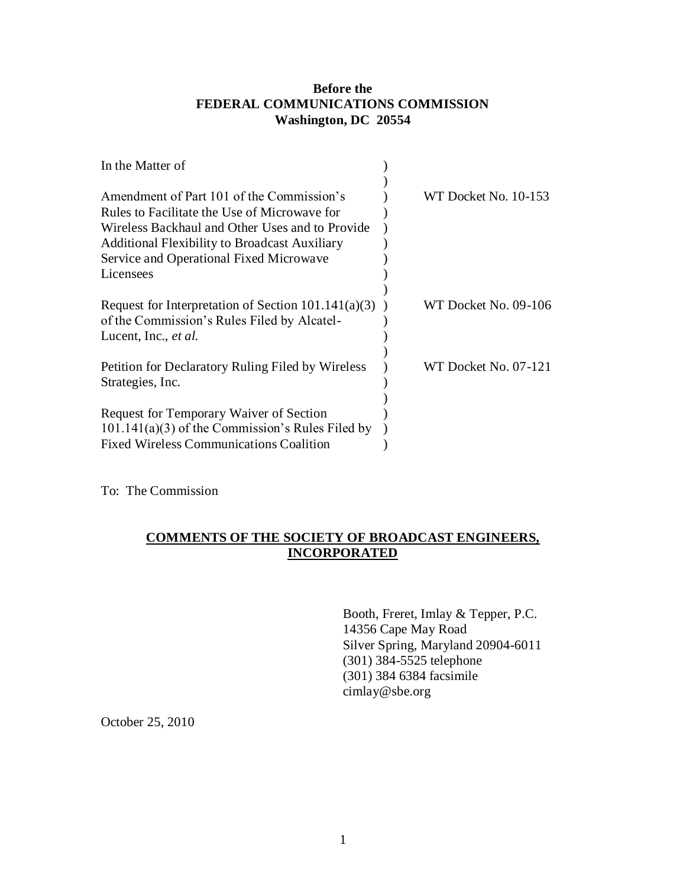# **Before the FEDERAL COMMUNICATIONS COMMISSION Washington, DC 20554**

| In the Matter of                                                                                     |                      |
|------------------------------------------------------------------------------------------------------|----------------------|
| Amendment of Part 101 of the Commission's                                                            | WT Docket No. 10-153 |
| Rules to Facilitate the Use of Microwave for                                                         |                      |
| Wireless Backhaul and Other Uses and to Provide                                                      |                      |
| <b>Additional Flexibility to Broadcast Auxiliary</b>                                                 |                      |
| Service and Operational Fixed Microwave                                                              |                      |
| Licensees                                                                                            |                      |
|                                                                                                      |                      |
| Request for Interpretation of Section $101.141(a)(3)$<br>of the Commission's Rules Filed by Alcatel- | WT Docket No. 09-106 |
| Lucent, Inc., <i>et al.</i>                                                                          |                      |
|                                                                                                      |                      |
| Petition for Declaratory Ruling Filed by Wireless                                                    | WT Docket No. 07-121 |
| Strategies, Inc.                                                                                     |                      |
|                                                                                                      |                      |
| <b>Request for Temporary Waiver of Section</b>                                                       |                      |
| $101.141(a)(3)$ of the Commission's Rules Filed by                                                   |                      |
| <b>Fixed Wireless Communications Coalition</b>                                                       |                      |

To: The Commission

# **COMMENTS OF THE SOCIETY OF BROADCAST ENGINEERS, INCORPORATED**

Booth, Freret, Imlay & Tepper, P.C. 14356 Cape May Road Silver Spring, Maryland 20904-6011 (301) 384-5525 telephone (301) 384 6384 facsimile cimlay@sbe.org

October 25, 2010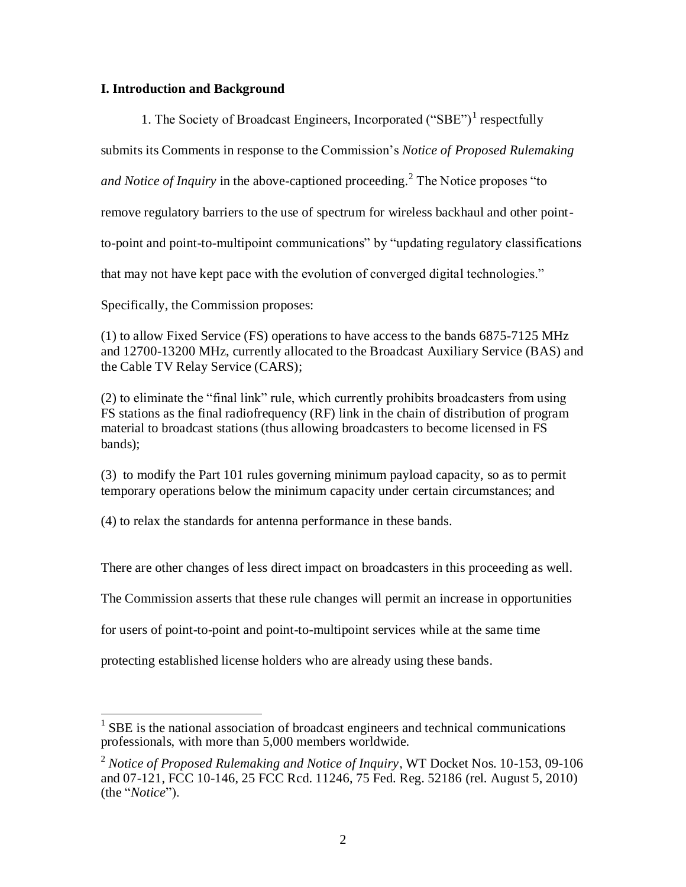## **I. Introduction and Background**

1. The Society of Broadcast Engineers, Incorporated ("SBE")<sup>1</sup> respectfully

submits its Comments in response to the Commission's *Notice of Proposed Rulemaking* 

*and Notice of Inquiry* in the above-captioned proceeding.<sup>2</sup> The Notice proposes "to

remove regulatory barriers to the use of spectrum for wireless backhaul and other point-

to-point and point-to-multipoint communications" by "updating regulatory classifications

that may not have kept pace with the evolution of converged digital technologies."

Specifically, the Commission proposes:

(1) to allow Fixed Service (FS) operations to have access to the bands 6875-7125 MHz and 12700-13200 MHz, currently allocated to the Broadcast Auxiliary Service (BAS) and the Cable TV Relay Service (CARS);

(2) to eliminate the "final link" rule, which currently prohibits broadcasters from using FS stations as the final radiofrequency (RF) link in the chain of distribution of program material to broadcast stations (thus allowing broadcasters to become licensed in FS bands);

(3) to modify the Part 101 rules governing minimum payload capacity, so as to permit temporary operations below the minimum capacity under certain circumstances; and

(4) to relax the standards for antenna performance in these bands.

There are other changes of less direct impact on broadcasters in this proceeding as well.

The Commission asserts that these rule changes will permit an increase in opportunities

for users of point-to-point and point-to-multipoint services while at the same time

protecting established license holders who are already using these bands.

<sup>&</sup>lt;sup>1</sup> SBE is the national association of broadcast engineers and technical communications professionals, with more than 5,000 members worldwide.

<sup>2</sup> *Notice of Proposed Rulemaking and Notice of Inquiry*, WT Docket Nos. 10-153, 09-106 and 07-121, FCC 10-146, 25 FCC Rcd. 11246, 75 Fed. Reg. 52186 (rel. August 5, 2010) (the "*Notice*").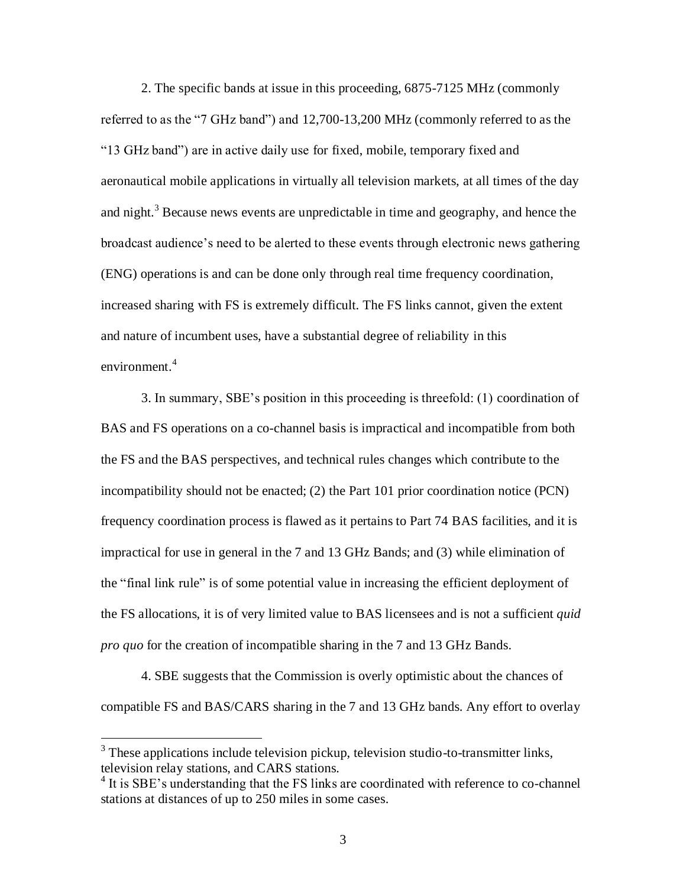2. The specific bands at issue in this proceeding, 6875-7125 MHz (commonly referred to as the "7 GHz band") and 12,700-13,200 MHz (commonly referred to as the "13 GHz band") are in active daily use for fixed, mobile, temporary fixed and aeronautical mobile applications in virtually all television markets, at all times of the day and night.<sup>3</sup> Because news events are unpredictable in time and geography, and hence the broadcast audience's need to be alerted to these events through electronic news gathering (ENG) operations is and can be done only through real time frequency coordination, increased sharing with FS is extremely difficult. The FS links cannot, given the extent and nature of incumbent uses, have a substantial degree of reliability in this environment. 4

3. In summary, SBE's position in this proceeding is threefold: (1) coordination of BAS and FS operations on a co-channel basis is impractical and incompatible from both the FS and the BAS perspectives, and technical rules changes which contribute to the incompatibility should not be enacted; (2) the Part 101 prior coordination notice (PCN) frequency coordination process is flawed as it pertains to Part 74 BAS facilities, and it is impractical for use in general in the 7 and 13 GHz Bands; and (3) while elimination of the "final link rule" is of some potential value in increasing the efficient deployment of the FS allocations, it is of very limited value to BAS licensees and is not a sufficient *quid pro quo* for the creation of incompatible sharing in the 7 and 13 GHz Bands.

4. SBE suggests that the Commission is overly optimistic about the chances of compatible FS and BAS/CARS sharing in the 7 and 13 GHz bands. Any effort to overlay

 $\overline{a}$ 

 $3$  These applications include television pickup, television studio-to-transmitter links, television relay stations, and CARS stations.

<sup>&</sup>lt;sup>4</sup> It is SBE's understanding that the FS links are coordinated with reference to co-channel stations at distances of up to 250 miles in some cases.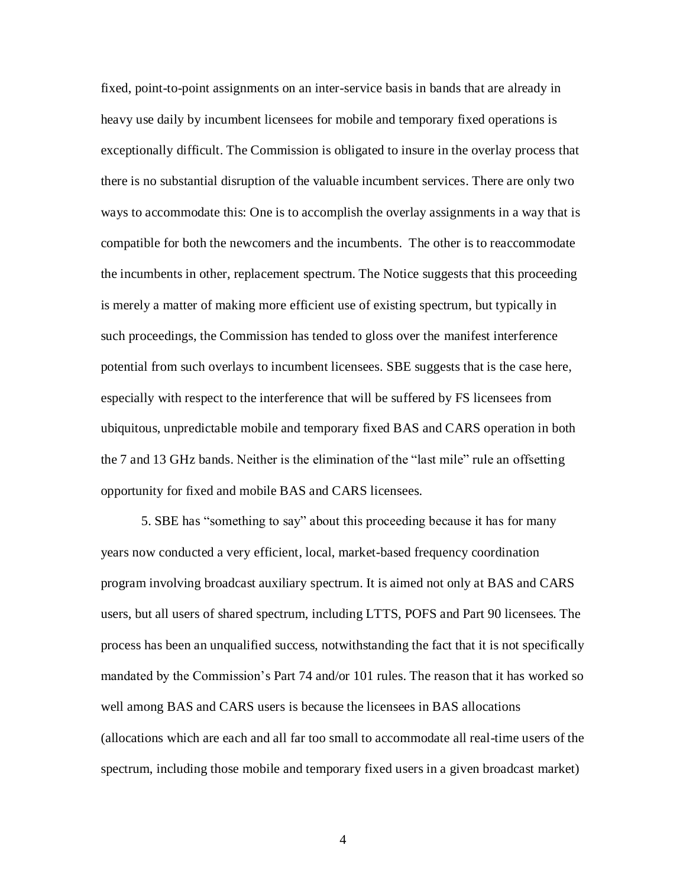fixed, point-to-point assignments on an inter-service basis in bands that are already in heavy use daily by incumbent licensees for mobile and temporary fixed operations is exceptionally difficult. The Commission is obligated to insure in the overlay process that there is no substantial disruption of the valuable incumbent services. There are only two ways to accommodate this: One is to accomplish the overlay assignments in a way that is compatible for both the newcomers and the incumbents. The other is to reaccommodate the incumbents in other, replacement spectrum. The Notice suggests that this proceeding is merely a matter of making more efficient use of existing spectrum, but typically in such proceedings, the Commission has tended to gloss over the manifest interference potential from such overlays to incumbent licensees. SBE suggests that is the case here, especially with respect to the interference that will be suffered by FS licensees from ubiquitous, unpredictable mobile and temporary fixed BAS and CARS operation in both the 7 and 13 GHz bands. Neither is the elimination of the "last mile" rule an offsetting opportunity for fixed and mobile BAS and CARS licensees.

5. SBE has "something to say" about this proceeding because it has for many years now conducted a very efficient, local, market-based frequency coordination program involving broadcast auxiliary spectrum. It is aimed not only at BAS and CARS users, but all users of shared spectrum, including LTTS, POFS and Part 90 licensees. The process has been an unqualified success, notwithstanding the fact that it is not specifically mandated by the Commission's Part 74 and/or 101 rules. The reason that it has worked so well among BAS and CARS users is because the licensees in BAS allocations (allocations which are each and all far too small to accommodate all real-time users of the spectrum, including those mobile and temporary fixed users in a given broadcast market)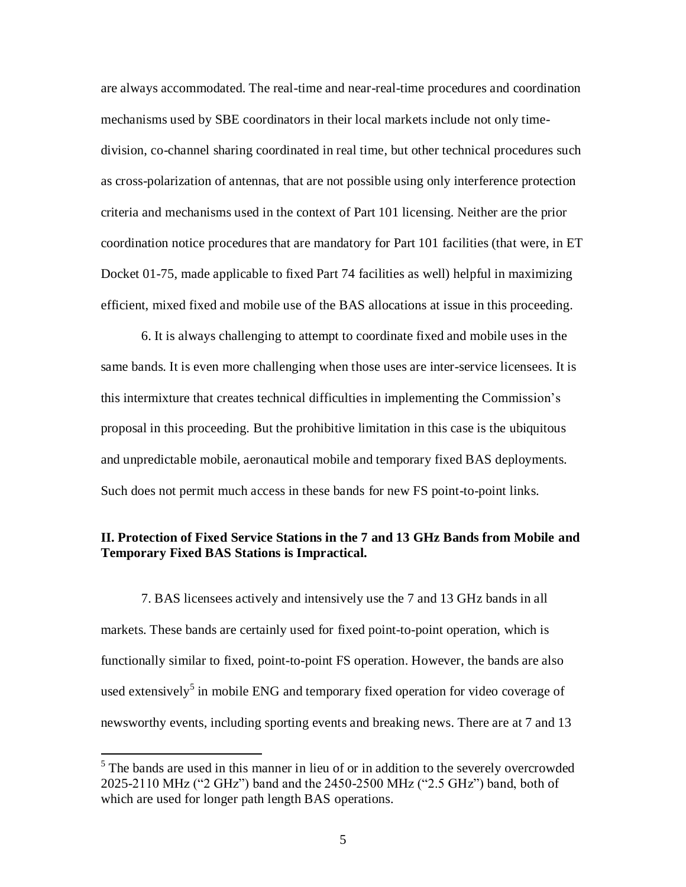are always accommodated. The real-time and near-real-time procedures and coordination mechanisms used by SBE coordinators in their local markets include not only timedivision, co-channel sharing coordinated in real time, but other technical procedures such as cross-polarization of antennas, that are not possible using only interference protection criteria and mechanisms used in the context of Part 101 licensing. Neither are the prior coordination notice procedures that are mandatory for Part 101 facilities (that were, in ET Docket 01-75, made applicable to fixed Part 74 facilities as well) helpful in maximizing efficient, mixed fixed and mobile use of the BAS allocations at issue in this proceeding.

6. It is always challenging to attempt to coordinate fixed and mobile uses in the same bands. It is even more challenging when those uses are inter-service licensees. It is this intermixture that creates technical difficulties in implementing the Commission's proposal in this proceeding. But the prohibitive limitation in this case is the ubiquitous and unpredictable mobile, aeronautical mobile and temporary fixed BAS deployments. Such does not permit much access in these bands for new FS point-to-point links.

### **II. Protection of Fixed Service Stations in the 7 and 13 GHz Bands from Mobile and Temporary Fixed BAS Stations is Impractical.**

7. BAS licensees actively and intensively use the 7 and 13 GHz bands in all markets. These bands are certainly used for fixed point-to-point operation, which is functionally similar to fixed, point-to-point FS operation. However, the bands are also used extensively<sup>5</sup> in mobile ENG and temporary fixed operation for video coverage of newsworthy events, including sporting events and breaking news. There are at 7 and 13

 $<sup>5</sup>$  The bands are used in this manner in lieu of or in addition to the severely overcrowded</sup> 2025-2110 MHz ("2 GHz") band and the 2450-2500 MHz ("2.5 GHz") band, both of which are used for longer path length BAS operations.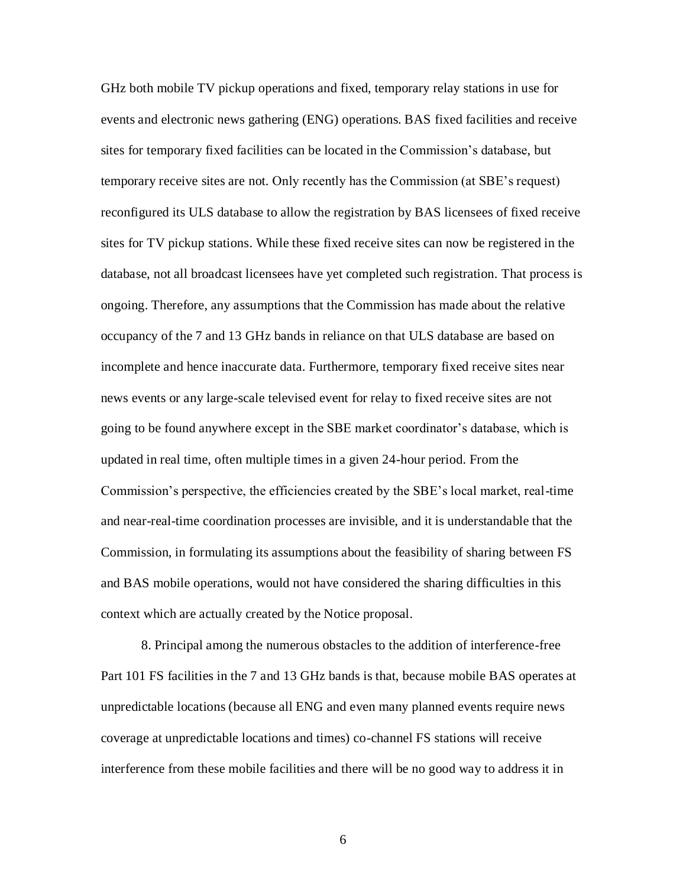GHz both mobile TV pickup operations and fixed, temporary relay stations in use for events and electronic news gathering (ENG) operations. BAS fixed facilities and receive sites for temporary fixed facilities can be located in the Commission's database, but temporary receive sites are not. Only recently has the Commission (at SBE's request) reconfigured its ULS database to allow the registration by BAS licensees of fixed receive sites for TV pickup stations. While these fixed receive sites can now be registered in the database, not all broadcast licensees have yet completed such registration. That process is ongoing. Therefore, any assumptions that the Commission has made about the relative occupancy of the 7 and 13 GHz bands in reliance on that ULS database are based on incomplete and hence inaccurate data. Furthermore, temporary fixed receive sites near news events or any large-scale televised event for relay to fixed receive sites are not going to be found anywhere except in the SBE market coordinator's database, which is updated in real time, often multiple times in a given 24-hour period. From the Commission's perspective, the efficiencies created by the SBE's local market, real-time and near-real-time coordination processes are invisible, and it is understandable that the Commission, in formulating its assumptions about the feasibility of sharing between FS and BAS mobile operations, would not have considered the sharing difficulties in this context which are actually created by the Notice proposal.

8. Principal among the numerous obstacles to the addition of interference-free Part 101 FS facilities in the 7 and 13 GHz bands is that, because mobile BAS operates at unpredictable locations (because all ENG and even many planned events require news coverage at unpredictable locations and times) co-channel FS stations will receive interference from these mobile facilities and there will be no good way to address it in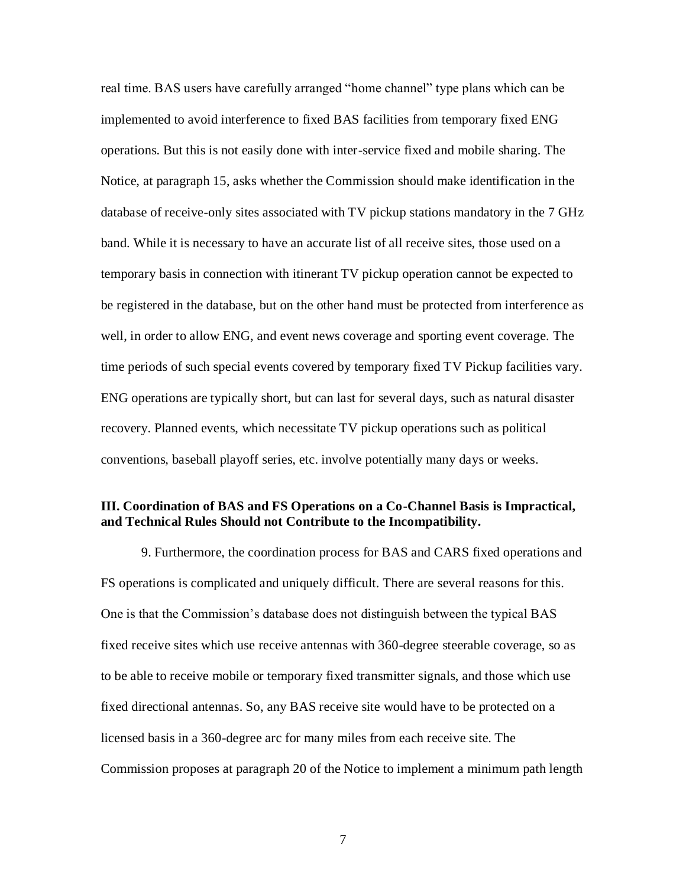real time. BAS users have carefully arranged "home channel" type plans which can be implemented to avoid interference to fixed BAS facilities from temporary fixed ENG operations. But this is not easily done with inter-service fixed and mobile sharing. The Notice, at paragraph 15, asks whether the Commission should make identification in the database of receive-only sites associated with TV pickup stations mandatory in the 7 GHz band. While it is necessary to have an accurate list of all receive sites, those used on a temporary basis in connection with itinerant TV pickup operation cannot be expected to be registered in the database, but on the other hand must be protected from interference as well, in order to allow ENG, and event news coverage and sporting event coverage. The time periods of such special events covered by temporary fixed TV Pickup facilities vary. ENG operations are typically short, but can last for several days, such as natural disaster recovery. Planned events, which necessitate TV pickup operations such as political conventions, baseball playoff series, etc. involve potentially many days or weeks.

#### **III. Coordination of BAS and FS Operations on a Co-Channel Basis is Impractical, and Technical Rules Should not Contribute to the Incompatibility.**

9. Furthermore, the coordination process for BAS and CARS fixed operations and FS operations is complicated and uniquely difficult. There are several reasons for this. One is that the Commission's database does not distinguish between the typical BAS fixed receive sites which use receive antennas with 360-degree steerable coverage, so as to be able to receive mobile or temporary fixed transmitter signals, and those which use fixed directional antennas. So, any BAS receive site would have to be protected on a licensed basis in a 360-degree arc for many miles from each receive site. The Commission proposes at paragraph 20 of the Notice to implement a minimum path length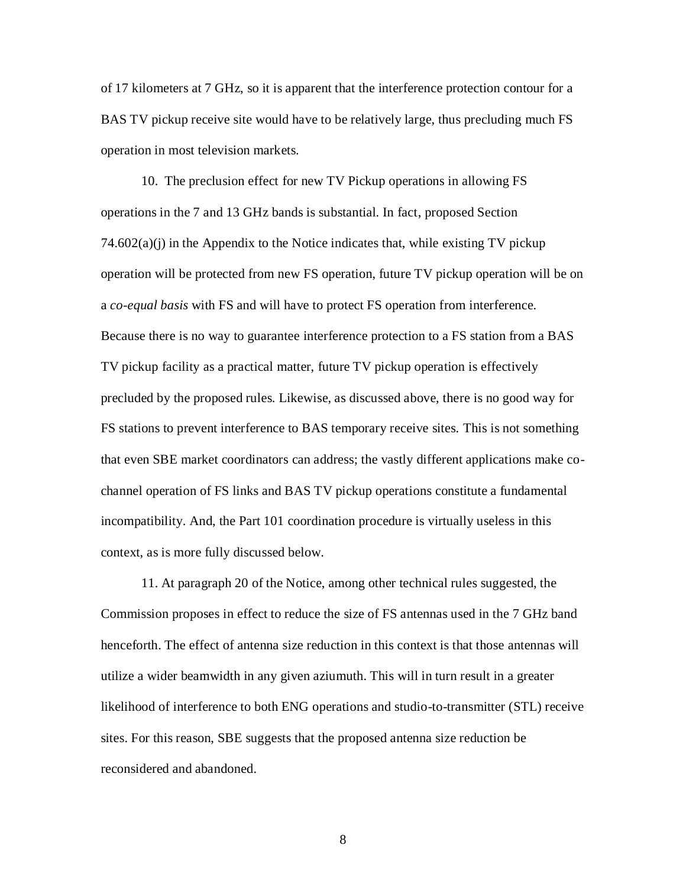of 17 kilometers at 7 GHz, so it is apparent that the interference protection contour for a BAS TV pickup receive site would have to be relatively large, thus precluding much FS operation in most television markets.

10. The preclusion effect for new TV Pickup operations in allowing FS operations in the 7 and 13 GHz bands is substantial. In fact, proposed Section  $74.602(a)(i)$  in the Appendix to the Notice indicates that, while existing TV pickup operation will be protected from new FS operation, future TV pickup operation will be on a *co-equal basis* with FS and will have to protect FS operation from interference. Because there is no way to guarantee interference protection to a FS station from a BAS TV pickup facility as a practical matter, future TV pickup operation is effectively precluded by the proposed rules. Likewise, as discussed above, there is no good way for FS stations to prevent interference to BAS temporary receive sites. This is not something that even SBE market coordinators can address; the vastly different applications make cochannel operation of FS links and BAS TV pickup operations constitute a fundamental incompatibility. And, the Part 101 coordination procedure is virtually useless in this context, as is more fully discussed below.

11. At paragraph 20 of the Notice, among other technical rules suggested, the Commission proposes in effect to reduce the size of FS antennas used in the 7 GHz band henceforth. The effect of antenna size reduction in this context is that those antennas will utilize a wider beamwidth in any given aziumuth. This will in turn result in a greater likelihood of interference to both ENG operations and studio-to-transmitter (STL) receive sites. For this reason, SBE suggests that the proposed antenna size reduction be reconsidered and abandoned.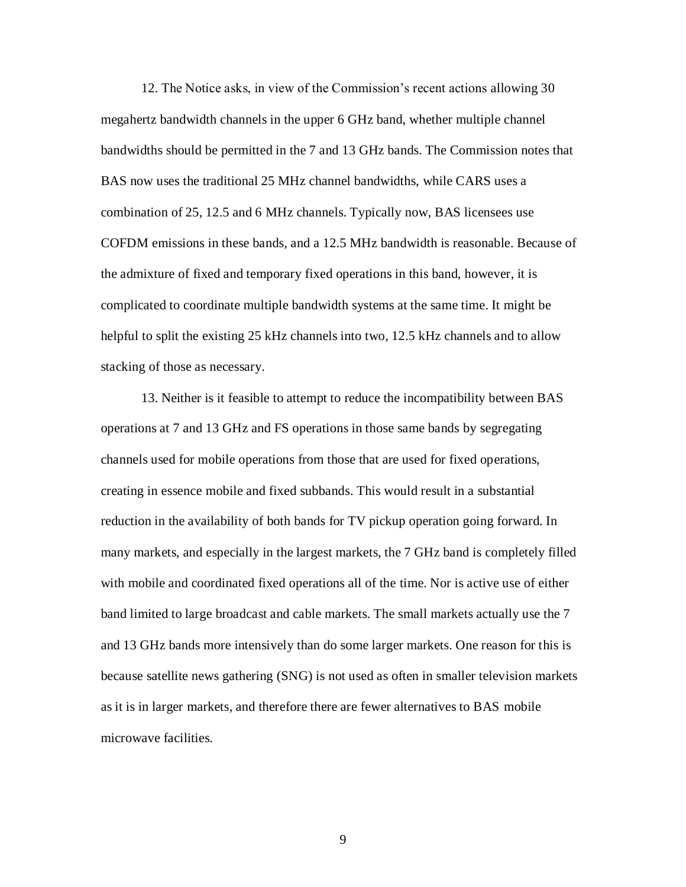12. The Notice asks, in view of the Commission's recent actions allowing 30 megahertz bandwidth channels in the upper 6 GHz band, whether multiple channel bandwidths should be permitted in the 7 and 13 GHz bands. The Commission notes that BAS now uses the traditional 25 MHz channel bandwidths, while CARS uses a combination of 25, 12.5 and 6 MHz channels. Typically now, BAS licensees use COFDM emissions in these bands, and a 12.5 MHz bandwidth is reasonable. Because of the admixture of fixed and temporary fixed operations in this band, however, it is complicated to coordinate multiple bandwidth systems at the same time. It might be helpful to split the existing 25 kHz channels into two, 12.5 kHz channels and to allow stacking of those as necessary.

13. Neither is it feasible to attempt to reduce the incompatibility between BAS operations at 7 and 13 GHz and FS operations in those same bands by segregating channels used for mobile operations from those that are used for fixed operations, creating in essence mobile and fixed subbands. This would result in a substantial reduction in the availability of both bands for TV pickup operation going forward. In many markets, and especially in the largest markets, the 7 GHz band is completely filled with mobile and coordinated fixed operations all of the time. Nor is active use of either band limited to large broadcast and cable markets. The small markets actually use the 7 and 13 GHz bands more intensively than do some larger markets. One reason for this is because satellite news gathering (SNG) is not used as often in smaller television markets as it is in larger markets, and therefore there are fewer alternatives to BAS mobile microwave facilities.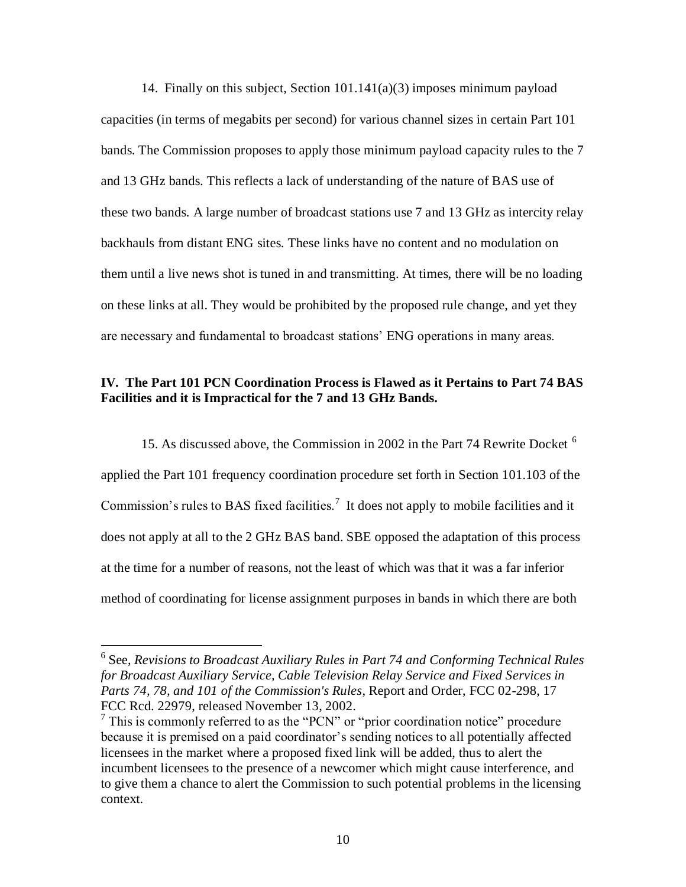14. Finally on this subject, Section 101.141(a)(3) imposes minimum payload capacities (in terms of megabits per second) for various channel sizes in certain Part 101 bands. The Commission proposes to apply those minimum payload capacity rules to the 7 and 13 GHz bands. This reflects a lack of understanding of the nature of BAS use of these two bands. A large number of broadcast stations use 7 and 13 GHz as intercity relay backhauls from distant ENG sites. These links have no content and no modulation on them until a live news shot is tuned in and transmitting. At times, there will be no loading on these links at all. They would be prohibited by the proposed rule change, and yet they are necessary and fundamental to broadcast stations' ENG operations in many areas.

# **IV. The Part 101 PCN Coordination Process is Flawed as it Pertains to Part 74 BAS Facilities and it is Impractical for the 7 and 13 GHz Bands.**

15. As discussed above, the Commission in 2002 in the Part 74 Rewrite Docket <sup>6</sup> applied the Part 101 frequency coordination procedure set forth in Section 101.103 of the Commission's rules to BAS fixed facilities.<sup>7</sup> It does not apply to mobile facilities and it does not apply at all to the 2 GHz BAS band. SBE opposed the adaptation of this process at the time for a number of reasons, not the least of which was that it was a far inferior method of coordinating for license assignment purposes in bands in which there are both

 $\overline{a}$ 

<sup>&</sup>lt;sup>6</sup> See, *Revisions to Broadcast Auxiliary Rules in Part 74 and Conforming Technical Rules for Broadcast Auxiliary Service, Cable Television Relay Service and Fixed Services in Parts 74, 78, and 101 of the Commission's Rules*, Report and Order, FCC 02-298, 17 FCC Rcd. 22979, released November 13, 2002.

 $<sup>7</sup>$  This is commonly referred to as the "PCN" or "prior coordination notice" procedure</sup> because it is premised on a paid coordinator's sending notices to all potentially affected licensees in the market where a proposed fixed link will be added, thus to alert the incumbent licensees to the presence of a newcomer which might cause interference, and to give them a chance to alert the Commission to such potential problems in the licensing context.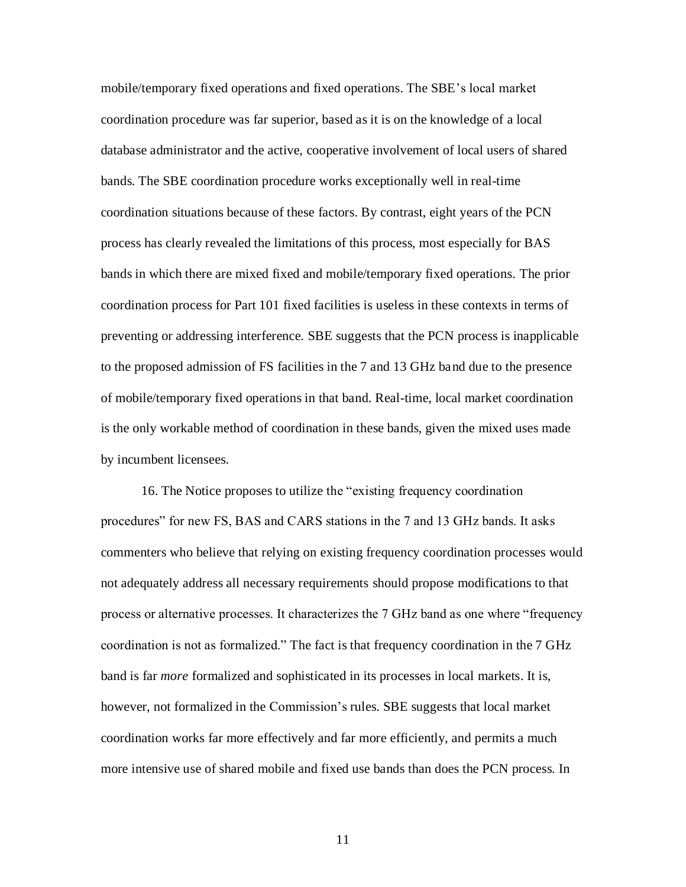mobile/temporary fixed operations and fixed operations. The SBE's local market coordination procedure was far superior, based as it is on the knowledge of a local database administrator and the active, cooperative involvement of local users of shared bands. The SBE coordination procedure works exceptionally well in real-time coordination situations because of these factors. By contrast, eight years of the PCN process has clearly revealed the limitations of this process, most especially for BAS bands in which there are mixed fixed and mobile/temporary fixed operations. The prior coordination process for Part 101 fixed facilities is useless in these contexts in terms of preventing or addressing interference. SBE suggests that the PCN process is inapplicable to the proposed admission of FS facilities in the 7 and 13 GHz band due to the presence of mobile/temporary fixed operations in that band. Real-time, local market coordination is the only workable method of coordination in these bands, given the mixed uses made by incumbent licensees.

16. The Notice proposes to utilize the "existing frequency coordination procedures" for new FS, BAS and CARS stations in the 7 and 13 GHz bands. It asks commenters who believe that relying on existing frequency coordination processes would not adequately address all necessary requirements should propose modifications to that process or alternative processes. It characterizes the 7 GHz band as one where "frequency coordination is not as formalized." The fact is that frequency coordination in the 7 GHz band is far *more* formalized and sophisticated in its processes in local markets. It is, however, not formalized in the Commission's rules. SBE suggests that local market coordination works far more effectively and far more efficiently, and permits a much more intensive use of shared mobile and fixed use bands than does the PCN process. In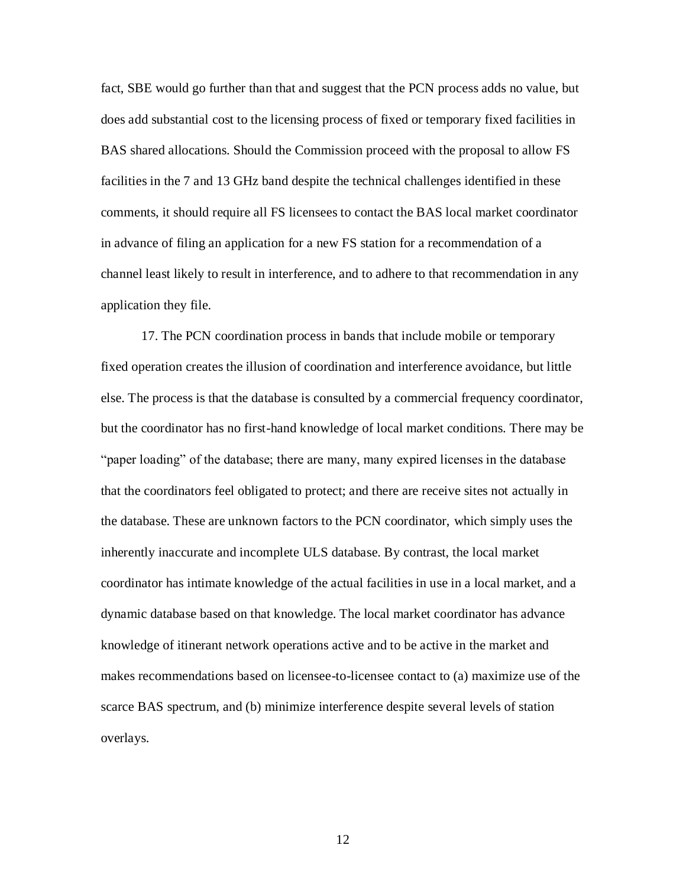fact, SBE would go further than that and suggest that the PCN process adds no value, but does add substantial cost to the licensing process of fixed or temporary fixed facilities in BAS shared allocations. Should the Commission proceed with the proposal to allow FS facilities in the 7 and 13 GHz band despite the technical challenges identified in these comments, it should require all FS licensees to contact the BAS local market coordinator in advance of filing an application for a new FS station for a recommendation of a channel least likely to result in interference, and to adhere to that recommendation in any application they file.

17. The PCN coordination process in bands that include mobile or temporary fixed operation creates the illusion of coordination and interference avoidance, but little else. The process is that the database is consulted by a commercial frequency coordinator, but the coordinator has no first-hand knowledge of local market conditions. There may be "paper loading" of the database; there are many, many expired licenses in the database that the coordinators feel obligated to protect; and there are receive sites not actually in the database. These are unknown factors to the PCN coordinator, which simply uses the inherently inaccurate and incomplete ULS database. By contrast, the local market coordinator has intimate knowledge of the actual facilities in use in a local market, and a dynamic database based on that knowledge. The local market coordinator has advance knowledge of itinerant network operations active and to be active in the market and makes recommendations based on licensee-to-licensee contact to (a) maximize use of the scarce BAS spectrum, and (b) minimize interference despite several levels of station overlays.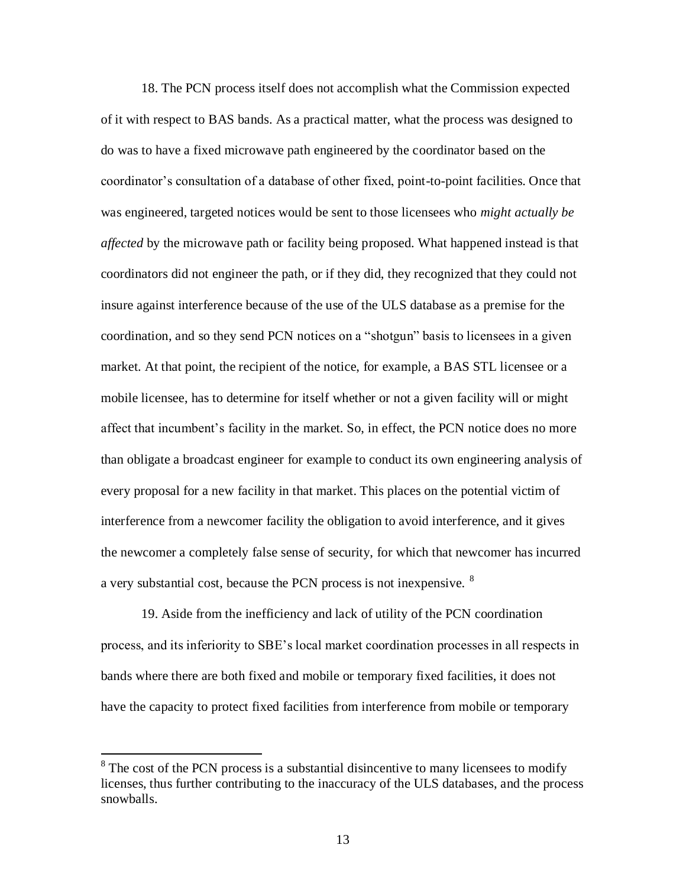18. The PCN process itself does not accomplish what the Commission expected of it with respect to BAS bands. As a practical matter, what the process was designed to do was to have a fixed microwave path engineered by the coordinator based on the coordinator's consultation of a database of other fixed, point-to-point facilities. Once that was engineered, targeted notices would be sent to those licensees who *might actually be affected* by the microwave path or facility being proposed. What happened instead is that coordinators did not engineer the path, or if they did, they recognized that they could not insure against interference because of the use of the ULS database as a premise for the coordination, and so they send PCN notices on a "shotgun" basis to licensees in a given market. At that point, the recipient of the notice, for example, a BAS STL licensee or a mobile licensee, has to determine for itself whether or not a given facility will or might affect that incumbent's facility in the market. So, in effect, the PCN notice does no more than obligate a broadcast engineer for example to conduct its own engineering analysis of every proposal for a new facility in that market. This places on the potential victim of interference from a newcomer facility the obligation to avoid interference, and it gives the newcomer a completely false sense of security, for which that newcomer has incurred a very substantial cost, because the PCN process is not inexpensive. <sup>8</sup>

19. Aside from the inefficiency and lack of utility of the PCN coordination process, and its inferiority to SBE's local market coordination processes in all respects in bands where there are both fixed and mobile or temporary fixed facilities, it does not have the capacity to protect fixed facilities from interference from mobile or temporary

<sup>&</sup>lt;sup>8</sup> The cost of the PCN process is a substantial disincentive to many licensees to modify licenses, thus further contributing to the inaccuracy of the ULS databases, and the process snowballs.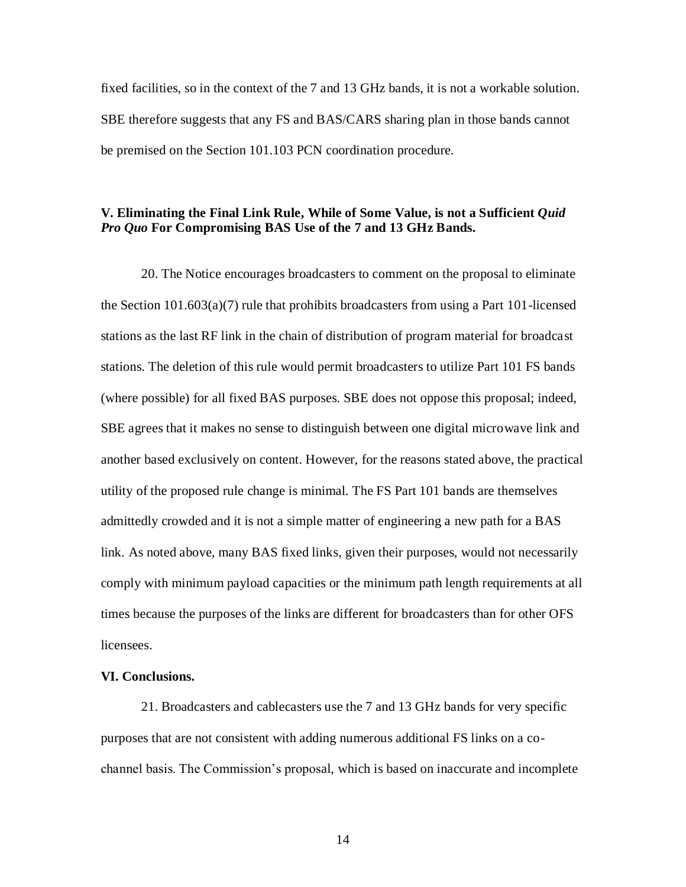fixed facilities, so in the context of the 7 and 13 GHz bands, it is not a workable solution. SBE therefore suggests that any FS and BAS/CARS sharing plan in those bands cannot be premised on the Section 101.103 PCN coordination procedure.

# **V. Eliminating the Final Link Rule, While of Some Value, is not a Sufficient** *Quid Pro Quo* **For Compromising BAS Use of the 7 and 13 GHz Bands.**

20. The Notice encourages broadcasters to comment on the proposal to eliminate the Section  $101.603(a)(7)$  rule that prohibits broadcasters from using a Part 101-licensed stations as the last RF link in the chain of distribution of program material for broadcast stations. The deletion of this rule would permit broadcasters to utilize Part 101 FS bands (where possible) for all fixed BAS purposes. SBE does not oppose this proposal; indeed, SBE agrees that it makes no sense to distinguish between one digital microwave link and another based exclusively on content. However, for the reasons stated above, the practical utility of the proposed rule change is minimal. The FS Part 101 bands are themselves admittedly crowded and it is not a simple matter of engineering a new path for a BAS link. As noted above, many BAS fixed links, given their purposes, would not necessarily comply with minimum payload capacities or the minimum path length requirements at all times because the purposes of the links are different for broadcasters than for other OFS licensees.

#### **VI. Conclusions.**

21. Broadcasters and cablecasters use the 7 and 13 GHz bands for very specific purposes that are not consistent with adding numerous additional FS links on a cochannel basis. The Commission's proposal, which is based on inaccurate and incomplete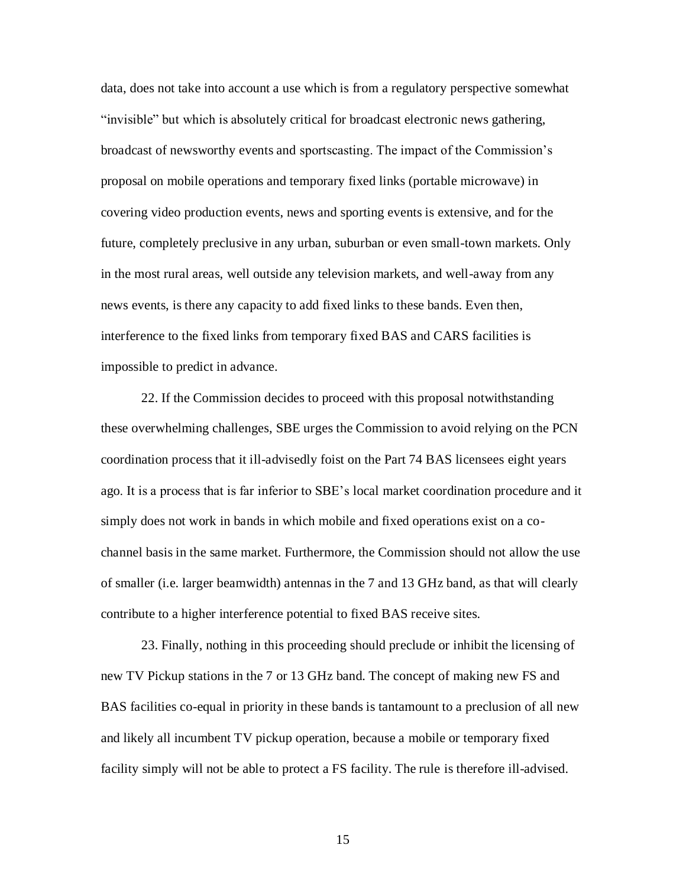data, does not take into account a use which is from a regulatory perspective somewhat "invisible" but which is absolutely critical for broadcast electronic news gathering, broadcast of newsworthy events and sportscasting. The impact of the Commission's proposal on mobile operations and temporary fixed links (portable microwave) in covering video production events, news and sporting events is extensive, and for the future, completely preclusive in any urban, suburban or even small-town markets. Only in the most rural areas, well outside any television markets, and well-away from any news events, is there any capacity to add fixed links to these bands. Even then, interference to the fixed links from temporary fixed BAS and CARS facilities is impossible to predict in advance.

22. If the Commission decides to proceed with this proposal notwithstanding these overwhelming challenges, SBE urges the Commission to avoid relying on the PCN coordination process that it ill-advisedly foist on the Part 74 BAS licensees eight years ago. It is a process that is far inferior to SBE's local market coordination procedure and it simply does not work in bands in which mobile and fixed operations exist on a cochannel basis in the same market. Furthermore, the Commission should not allow the use of smaller (i.e. larger beamwidth) antennas in the 7 and 13 GHz band, as that will clearly contribute to a higher interference potential to fixed BAS receive sites.

23. Finally, nothing in this proceeding should preclude or inhibit the licensing of new TV Pickup stations in the 7 or 13 GHz band. The concept of making new FS and BAS facilities co-equal in priority in these bands is tantamount to a preclusion of all new and likely all incumbent TV pickup operation, because a mobile or temporary fixed facility simply will not be able to protect a FS facility. The rule is therefore ill-advised.